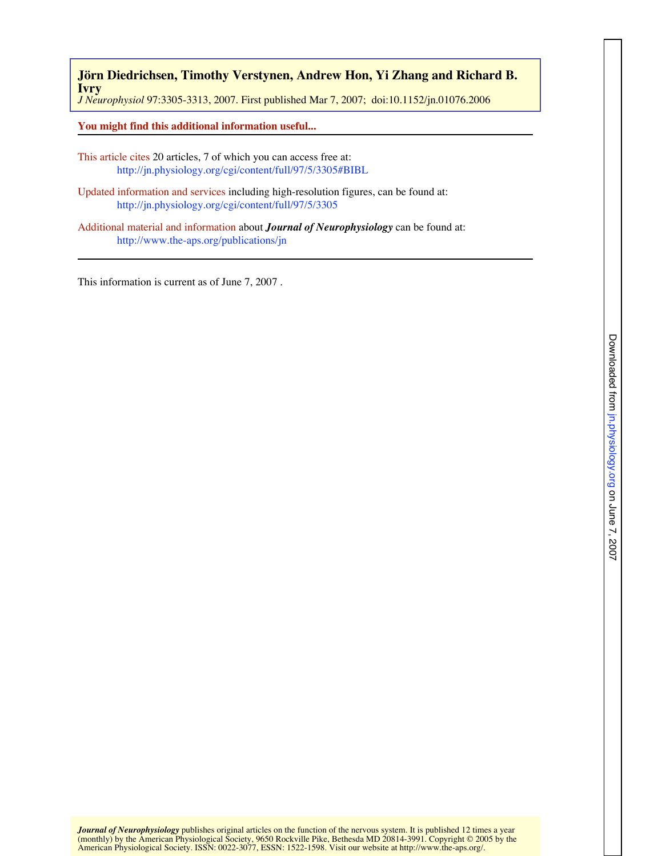*J Neurophysiol* 97:3305-3313, 2007. First published Mar 7, 2007; doi:10.1152/jn.01076.2006 **Ivry Jörn Diedrichsen, Timothy Verstynen, Andrew Hon, Yi Zhang and Richard B.**

**You might find this additional information useful...**

- This article c[ites 20 articles, 7 of which you can access free at:](http://jn.physiology.org/cgi/content/full/97/5/3305#BIBL)  http://jn.physiology.org/cgi/content/full/97/5/3305#BIBL
- Updated info[rmation and services including high-resolution figu](http://jn.physiology.org/cgi/content/full/97/5/3305)res, can be found at: http://jn.physiology.org/cgi/content/full/97/5/3305
- Additional [material and information about](http://www.the-aps.org/publications/jn) *Journal of Neurophysiology* can be found at: http://www.the-aps.org/publications/jn

This information is current as of June 7, 2007 .

(monthly) by the American Physiological Society, 9650 Rockville Pike, Bethesda MD 20814-3991. Copyright © 2005 by the<br>American Physiological Society. ISSN: 0022-3077, ESSN: 1522-1598. Visit our website at http://www.the-ap *Journal of Neurophysiology* publishes original articles on the function of the nervous system. It [is published 12 times a ye](http://www.the-aps.org/)ar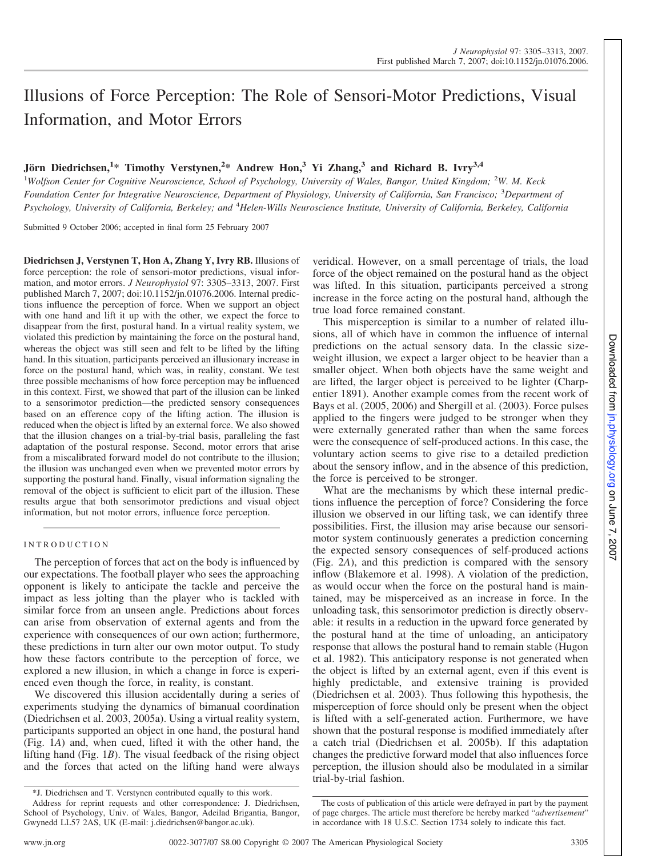# Illusions of Force Perception: The Role of Sensori-Motor Predictions, Visual Information, and Motor Errors

## **Jo¨rn Diedrichsen,<sup>1</sup> \* Timothy Verstynen,<sup>2</sup> \* Andrew Hon,<sup>3</sup> Yi Zhang,<sup>3</sup> and Richard B. Ivry3,4**

<sup>1</sup>Wolfson Center for Cognitive Neuroscience, School of Psychology, University of Wales, Bangor, United Kingdom; <sup>2</sup>W. M. Keck Foundation Center for Integrative Neuroscience, Department of Physiology, University of California, San Francisco; <sup>3</sup>Department of Psychology, University of California, Berkeley; and <sup>4</sup>Helen-Wills Neuroscience Institute, University of California, Berkeley, California

Submitted 9 October 2006; accepted in final form 25 February 2007

**Diedrichsen J, Verstynen T, Hon A, Zhang Y, Ivry RB.** Illusions of force perception: the role of sensori-motor predictions, visual information, and motor errors. *J Neurophysiol* 97: 3305–3313, 2007. First published March 7, 2007; doi:10.1152/jn.01076.2006. Internal predictions influence the perception of force. When we support an object with one hand and lift it up with the other, we expect the force to disappear from the first, postural hand. In a virtual reality system, we violated this prediction by maintaining the force on the postural hand, whereas the object was still seen and felt to be lifted by the lifting hand. In this situation, participants perceived an illusionary increase in force on the postural hand, which was, in reality, constant. We test three possible mechanisms of how force perception may be influenced in this context. First, we showed that part of the illusion can be linked to a sensorimotor prediction—the predicted sensory consequences based on an efference copy of the lifting action. The illusion is reduced when the object is lifted by an external force. We also showed that the illusion changes on a trial-by-trial basis, paralleling the fast adaptation of the postural response. Second, motor errors that arise from a miscalibrated forward model do not contribute to the illusion; the illusion was unchanged even when we prevented motor errors by supporting the postural hand. Finally, visual information signaling the removal of the object is sufficient to elicit part of the illusion. These results argue that both sensorimotor predictions and visual object information, but not motor errors, influence force perception.

### I N T R O D U C T I O N

The perception of forces that act on the body is influenced by our expectations. The football player who sees the approaching opponent is likely to anticipate the tackle and perceive the impact as less jolting than the player who is tackled with similar force from an unseen angle. Predictions about forces can arise from observation of external agents and from the experience with consequences of our own action; furthermore, these predictions in turn alter our own motor output. To study how these factors contribute to the perception of force, we explored a new illusion, in which a change in force is experienced even though the force, in reality, is constant.

We discovered this illusion accidentally during a series of experiments studying the dynamics of bimanual coordination (Diedrichsen et al. 2003, 2005a). Using a virtual reality system, participants supported an object in one hand, the postural hand (Fig. 1*A*) and, when cued, lifted it with the other hand, the lifting hand (Fig. 1*B*). The visual feedback of the rising object and the forces that acted on the lifting hand were always

veridical. However, on a small percentage of trials, the load force of the object remained on the postural hand as the object was lifted. In this situation, participants perceived a strong increase in the force acting on the postural hand, although the true load force remained constant.

This misperception is similar to a number of related illusions, all of which have in common the influence of internal predictions on the actual sensory data. In the classic sizeweight illusion, we expect a larger object to be heavier than a smaller object. When both objects have the same weight and are lifted, the larger object is perceived to be lighter (Charpentier 1891). Another example comes from the recent work of Bays et al. (2005, 2006) and Shergill et al. (2003). Force pulses applied to the fingers were judged to be stronger when they were externally generated rather than when the same forces were the consequence of self-produced actions. In this case, the voluntary action seems to give rise to a detailed prediction about the sensory inflow, and in the absence of this prediction, the force is perceived to be stronger.

What are the mechanisms by which these internal predictions influence the perception of force? Considering the force illusion we observed in our lifting task, we can identify three possibilities. First, the illusion may arise because our sensorimotor system continuously generates a prediction concerning the expected sensory consequences of self-produced actions (Fig. 2*A*), and this prediction is compared with the sensory inflow (Blakemore et al. 1998). A violation of the prediction, as would occur when the force on the postural hand is maintained, may be misperceived as an increase in force. In the unloading task, this sensorimotor prediction is directly observable: it results in a reduction in the upward force generated by the postural hand at the time of unloading, an anticipatory response that allows the postural hand to remain stable (Hugon et al. 1982). This anticipatory response is not generated when the object is lifted by an external agent, even if this event is highly predictable, and extensive training is provided (Diedrichsen et al. 2003). Thus following this hypothesis, the misperception of force should only be present when the object is lifted with a self-generated action. Furthermore, we have shown that the postural response is modified immediately after a catch trial (Diedrichsen et al. 2005b). If this adaptation changes the predictive forward model that also influences force perception, the illusion should also be modulated in a similar trial-by-trial fashion.

Downloaded from jn.physiology.org on June 7, Downloaded from in.physiology.org on June 7, 2007 2007

<sup>\*</sup>J. Diedrichsen and T. Verstynen contributed equally to this work.

Address for reprint requests and other correspondence: J. Diedrichsen, School of Psychology, Univ. of Wales, Bangor, Adeilad Brigantia, Bangor, Gwynedd LL57 2AS, UK (E-mail: j.diedrichsen@bangor.ac.uk).

The costs of publication of this article were defrayed in part by the payment of page charges. The article must therefore be hereby marked "*advertisement*" in accordance with 18 U.S.C. Section 1734 solely to indicate this fact.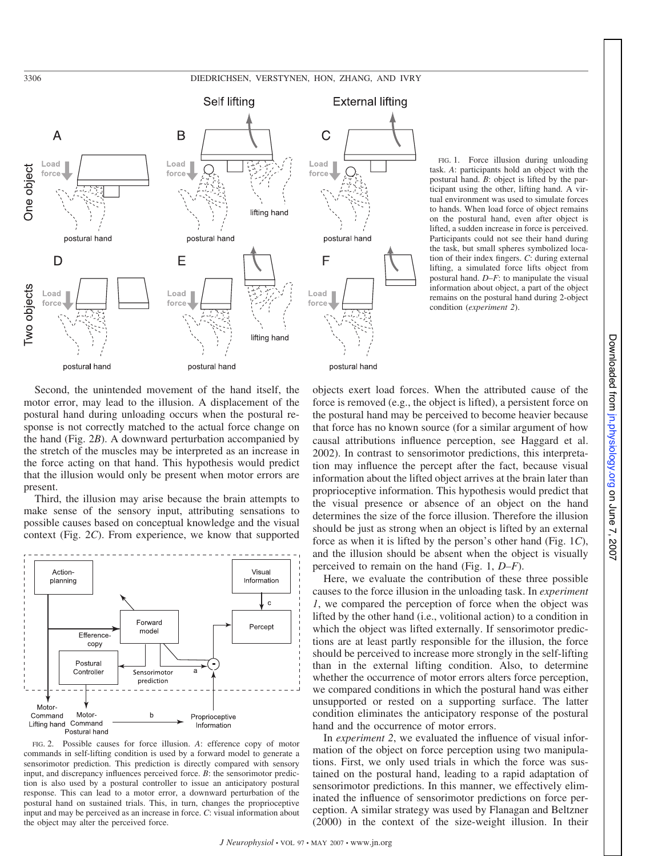

FIG. 1. Force illusion during unloading task. *A*: participants hold an object with the postural hand. *B*: object is lifted by the participant using the other, lifting hand. A virtual environment was used to simulate forces to hands. When load force of object remains on the postural hand, even after object is lifted, a sudden increase in force is perceived. Participants could not see their hand during the task, but small spheres symbolized location of their index fingers. *C*: during external lifting, a simulated force lifts object from postural hand. *D–F*: to manipulate the visual information about object, a part of the object remains on the postural hand during 2-object condition (*experiment 2*).

Second, the unintended movement of the hand itself, the motor error, may lead to the illusion. A displacement of the postural hand during unloading occurs when the postural response is not correctly matched to the actual force change on the hand (Fig. 2*B*). A downward perturbation accompanied by the stretch of the muscles may be interpreted as an increase in the force acting on that hand. This hypothesis would predict that the illusion would only be present when motor errors are present.

Third, the illusion may arise because the brain attempts to make sense of the sensory input, attributing sensations to possible causes based on conceptual knowledge and the visual context (Fig. 2*C*). From experience, we know that supported



FIG. 2. Possible causes for force illusion. *A*: efference copy of motor commands in self-lifting condition is used by a forward model to generate a sensorimotor prediction. This prediction is directly compared with sensory input, and discrepancy influences perceived force. *B*: the sensorimotor prediction is also used by a postural controller to issue an anticipatory postural response. This can lead to a motor error, a downward perturbation of the postural hand on sustained trials. This, in turn, changes the proprioceptive input and may be perceived as an increase in force. *C*: visual information about the object may alter the perceived force.

objects exert load forces. When the attributed cause of the force is removed (e.g., the object is lifted), a persistent force on the postural hand may be perceived to become heavier because that force has no known source (for a similar argument of how causal attributions influence perception, see Haggard et al. 2002). In contrast to sensorimotor predictions, this interpretation may influence the percept after the fact, because visual information about the lifted object arrives at the brain later than proprioceptive information. This hypothesis would predict that the visual presence or absence of an object on the hand determines the size of the force illusion. Therefore the illusion should be just as strong when an object is lifted by an external force as when it is lifted by the person's other hand (Fig. 1*C*), and the illusion should be absent when the object is visually perceived to remain on the hand (Fig. 1, *D–F*).

Here, we evaluate the contribution of these three possible causes to the force illusion in the unloading task. In *experiment 1*, we compared the perception of force when the object was lifted by the other hand (i.e., volitional action) to a condition in which the object was lifted externally. If sensorimotor predictions are at least partly responsible for the illusion, the force should be perceived to increase more strongly in the self-lifting than in the external lifting condition. Also, to determine whether the occurrence of motor errors alters force perception, we compared conditions in which the postural hand was either unsupported or rested on a supporting surface. The latter condition eliminates the anticipatory response of the postural hand and the occurrence of motor errors.

In *experiment 2*, we evaluated the influence of visual information of the object on force perception using two manipulations. First, we only used trials in which the force was sustained on the postural hand, leading to a rapid adaptation of sensorimotor predictions. In this manner, we effectively eliminated the influence of sensorimotor predictions on force perception. A similar strategy was used by Flanagan and Beltzner (2000) in the context of the size-weight illusion. In their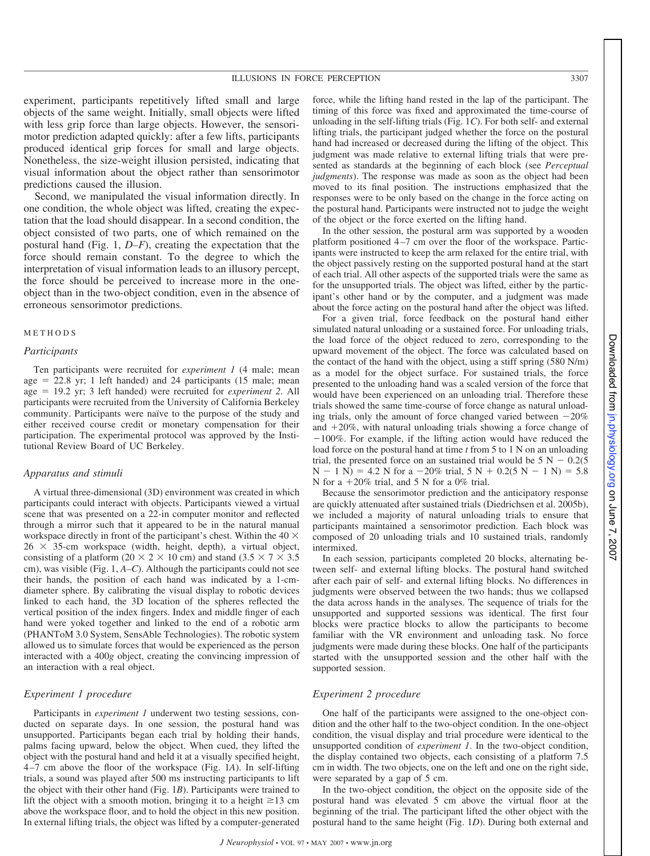experiment, participants repetitively lifted small and large objects of the same weight. Initially, small objects were lifted with less grip force than large objects. However, the sensorimotor prediction adapted quickly: after a few lifts, participants produced identical grip forces for small and large objects. Nonetheless, the size-weight illusion persisted, indicating that visual information about the object rather than sensorimotor predictions caused the illusion.

Second, we manipulated the visual information directly. In one condition, the whole object was lifted, creating the expectation that the load should disappear. In a second condition, the object consisted of two parts, one of which remained on the postural hand (Fig. 1, *D–F*), creating the expectation that the force should remain constant. To the degree to which the interpretation of visual information leads to an illusory percept, the force should be perceived to increase more in the oneobject than in the two-object condition, even in the absence of erroneous sensorimotor predictions.

#### **METHODS**

#### *Participants*

Ten participants were recruited for *experiment 1* (4 male; mean age  $= 22.8$  yr; 1 left handed) and 24 participants (15 male; mean age ! 19.2 yr; 3 left handed) were recruited for *experiment 2*. All participants were recruited from the University of California Berkeley community. Participants were naïve to the purpose of the study and either received course credit or monetary compensation for their participation. The experimental protocol was approved by the Institutional Review Board of UC Berkeley.

#### *Apparatus and stimuli*

A virtual three-dimensional (3D) environment was created in which participants could interact with objects. Participants viewed a virtual scene that was presented on a 22-in computer monitor and reflected through a mirror such that it appeared to be in the natural manual workspace directly in front of the participant's chest. Within the  $40 \times$  $26 \times 35$ -cm workspace (width, height, depth), a virtual object, consisting of a platform (20  $\times$  2  $\times$  10 cm) and stand (3.5  $\times$  7  $\times$  3.5 cm), was visible (Fig. 1, *A–C*). Although the participants could not see their hands, the position of each hand was indicated by a 1-cmdiameter sphere. By calibrating the visual display to robotic devices linked to each hand, the 3D location of the spheres reflected the vertical position of the index fingers. Index and middle finger of each hand were yoked together and linked to the end of a robotic arm (PHANToM 3.0 System, SensAble Technologies). The robotic system allowed us to simulate forces that would be experienced as the person interacted with a 400*g* object, creating the convincing impression of an interaction with a real object.

#### *Experiment 1 procedure*

Participants in *experiment 1* underwent two testing sessions, conducted on separate days. In one session, the postural hand was unsupported. Participants began each trial by holding their hands, palms facing upward, below the object. When cued, they lifted the object with the postural hand and held it at a visually specified height, 4–7 cm above the floor of the workspace (Fig. 1*A*). In self-lifting trials, a sound was played after 500 ms instructing participants to lift the object with their other hand (Fig. 1*B*). Participants were trained to lift the object with a smooth motion, bringing it to a height  $\geq$ 13 cm above the workspace floor, and to hold the object in this new position. In external lifting trials, the object was lifted by a computer-generated

force, while the lifting hand rested in the lap of the participant. The timing of this force was fixed and approximated the time-course of unloading in the self-lifting trials (Fig. 1*C*). For both self- and external lifting trials, the participant judged whether the force on the postural hand had increased or decreased during the lifting of the object. This judgment was made relative to external lifting trials that were presented as standards at the beginning of each block (see *Perceptual judgments*). The response was made as soon as the object had been moved to its final position. The instructions emphasized that the responses were to be only based on the change in the force acting on the postural hand. Participants were instructed not to judge the weight of the object or the force exerted on the lifting hand.

In the other session, the postural arm was supported by a wooden platform positioned 4–7 cm over the floor of the workspace. Participants were instructed to keep the arm relaxed for the entire trial, with the object passively resting on the supported postural hand at the start of each trial. All other aspects of the supported trials were the same as for the unsupported trials. The object was lifted, either by the participant's other hand or by the computer, and a judgment was made about the force acting on the postural hand after the object was lifted.

For a given trial, force feedback on the postural hand either simulated natural unloading or a sustained force. For unloading trials, the load force of the object reduced to zero, corresponding to the upward movement of the object. The force was calculated based on the contact of the hand with the object, using a stiff spring (580 N/m) as a model for the object surface. For sustained trials, the force presented to the unloading hand was a scaled version of the force that would have been experienced on an unloading trial. Therefore these trials showed the same time-course of force change as natural unloading trials, only the amount of force changed varied between  $-20\%$ and  $+20\%$ , with natural unloading trials showing a force change of  $-100\%$ . For example, if the lifting action would have reduced the load force on the postural hand at time *t* from 5 to 1 N on an unloading trial, the presented force on an sustained trial would be  $5 N - 0.2(5)$  $N - 1$  N) = 4.2 N for a -20% trial, 5 N + 0.2(5 N - 1 N) = 5.8 N for a  $+20\%$  trial, and 5 N for a 0% trial.

Because the sensorimotor prediction and the anticipatory response are quickly attenuated after sustained trials (Diedrichsen et al. 2005b), we included a majority of natural unloading trials to ensure that participants maintained a sensorimotor prediction. Each block was composed of 20 unloading trials and 10 sustained trials, randomly intermixed.

In each session, participants completed 20 blocks, alternating between self- and external lifting blocks. The postural hand switched after each pair of self- and external lifting blocks. No differences in judgments were observed between the two hands; thus we collapsed the data across hands in the analyses. The sequence of trials for the unsupported and supported sessions was identical. The first four blocks were practice blocks to allow the participants to become familiar with the VR environment and unloading task. No force judgments were made during these blocks. One half of the participants started with the unsupported session and the other half with the supported session.

#### *Experiment 2 procedure*

One half of the participants were assigned to the one-object condition and the other half to the two-object condition. In the one-object condition, the visual display and trial procedure were identical to the unsupported condition of *experiment 1*. In the two-object condition, the display contained two objects, each consisting of a platform 7.5 cm in width. The two objects, one on the left and one on the right side, were separated by a gap of 5 cm.

In the two-object condition, the object on the opposite side of the postural hand was elevated 5 cm above the virtual floor at the beginning of the trial. The participant lifted the other object with the postural hand to the same height (Fig. 1*D*). During both external and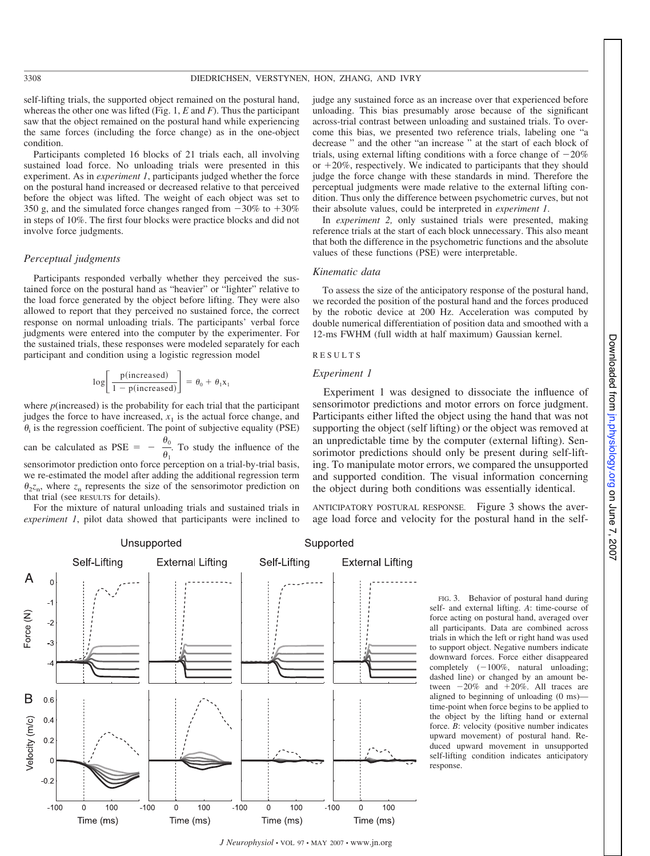self-lifting trials, the supported object remained on the postural hand, whereas the other one was lifted (Fig. 1, *E* and *F*). Thus the participant saw that the object remained on the postural hand while experiencing the same forces (including the force change) as in the one-object condition.

Participants completed 16 blocks of 21 trials each, all involving sustained load force. No unloading trials were presented in this experiment. As in *experiment 1*, participants judged whether the force on the postural hand increased or decreased relative to that perceived before the object was lifted. The weight of each object was set to 350 g, and the simulated force changes ranged from  $-30\%$  to  $+30\%$ in steps of 10%. The first four blocks were practice blocks and did not involve force judgments.

#### *Perceptual judgments*

Participants responded verbally whether they perceived the sustained force on the postural hand as "heavier" or "lighter" relative to the load force generated by the object before lifting. They were also allowed to report that they perceived no sustained force, the correct response on normal unloading trials. The participants' verbal force judgments were entered into the computer by the experimenter. For the sustained trials, these responses were modeled separately for each participant and condition using a logistic regression model

$$
\log \left[ \frac{p(\text{increased})}{1 - p(\text{increased})} \right] = \theta_0 + \theta_1 x_1
$$

where  $p$ (increased) is the probability for each trial that the participant judges the force to have increased,  $x_1$  is the actual force change, and  $\theta_i$  is the regression coefficient. The point of subjective equality (PSE)

can be calculated as  $PSE = \frac{1}{\theta_1}$ . To study the influence of the sensorimotor prediction onto force perception on a trial-by-trial basis, we re-estimated the model after adding the additional regression term  $\theta_2 z_n$ , where  $z_n$  represents the size of the sensorimotor prediction on that trial (see RESULTS for details).

For the mixture of natural unloading trials and sustained trials in *experiment 1*, pilot data showed that participants were inclined to

judge any sustained force as an increase over that experienced before unloading. This bias presumably arose because of the significant across-trial contrast between unloading and sustained trials. To overcome this bias, we presented two reference trials, labeling one "a decrease " and the other "an increase " at the start of each block of trials, using external lifting conditions with a force change of  $-20\%$ or  $+20\%$ , respectively. We indicated to participants that they should judge the force change with these standards in mind. Therefore the perceptual judgments were made relative to the external lifting condition. Thus only the difference between psychometric curves, but not their absolute values, could be interpreted in *experiment 1*.

In *experiment 2,* only sustained trials were presented, making reference trials at the start of each block unnecessary. This also meant that both the difference in the psychometric functions and the absolute values of these functions (PSE) were interpretable.

#### *Kinematic data*

To assess the size of the anticipatory response of the postural hand, we recorded the position of the postural hand and the forces produced by the robotic device at 200 Hz. Acceleration was computed by double numerical differentiation of position data and smoothed with a 12-ms FWHM (full width at half maximum) Gaussian kernel.

#### R E S U L T S

#### *Experiment 1*

Experiment 1 was designed to dissociate the influence of sensorimotor predictions and motor errors on force judgment. Participants either lifted the object using the hand that was not supporting the object (self lifting) or the object was removed at an unpredictable time by the computer (external lifting). Sensorimotor predictions should only be present during self-lifting. To manipulate motor errors, we compared the unsupported and supported condition. The visual information concerning the object during both conditions was essentially identical.

ANTICIPATORY POSTURAL RESPONSE. Figure 3 shows the average load force and velocity for the postural hand in the self-



FIG. 3. Behavior of postural hand during self- and external lifting. *A*: time-course of force acting on postural hand, averaged over all participants. Data are combined across trials in which the left or right hand was used to support object. Negative numbers indicate downward forces. Force either disappeared completely  $(-100\%$ , natural unloading; dashed line) or changed by an amount between  $-20\%$  and  $+20\%$ . All traces are aligned to beginning of unloading (0 ms) time-point when force begins to be applied to the object by the lifting hand or external force. *B*: velocity (positive number indicates upward movement) of postural hand. Reduced upward movement in unsupported self-lifting condition indicates anticipatory response.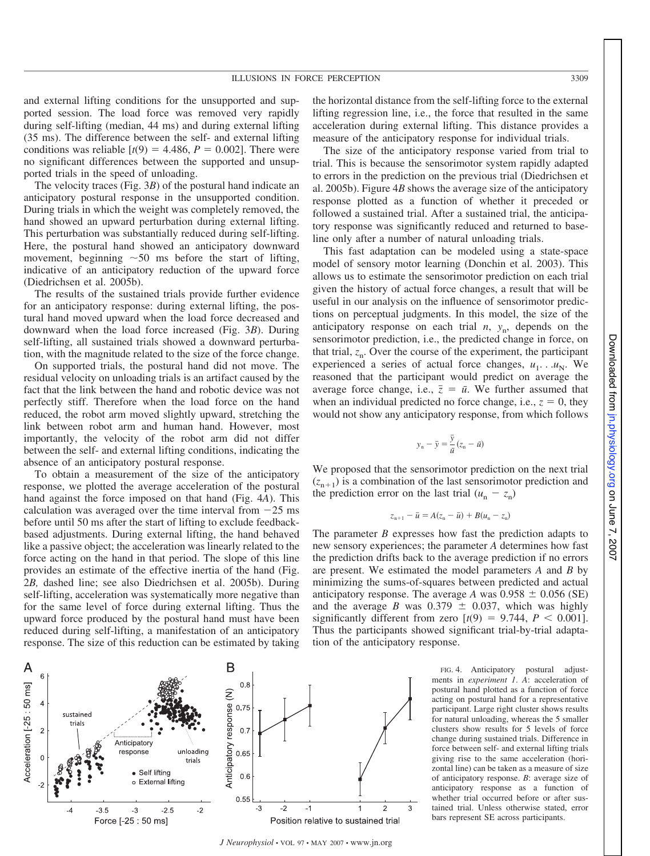and external lifting conditions for the unsupported and supported session. The load force was removed very rapidly during self-lifting (median, 44 ms) and during external lifting (35 ms). The difference between the self- and external lifting conditions was reliable  $[t(9) = 4.486, P = 0.002]$ . There were no significant differences between the supported and unsupported trials in the speed of unloading.

The velocity traces (Fig. 3*B*) of the postural hand indicate an anticipatory postural response in the unsupported condition. During trials in which the weight was completely removed, the hand showed an upward perturbation during external lifting. This perturbation was substantially reduced during self-lifting. Here, the postural hand showed an anticipatory downward movement, beginning  $\sim 50$  ms before the start of lifting, indicative of an anticipatory reduction of the upward force (Diedrichsen et al. 2005b).

The results of the sustained trials provide further evidence for an anticipatory response: during external lifting, the postural hand moved upward when the load force decreased and downward when the load force increased (Fig. 3*B*). During self-lifting, all sustained trials showed a downward perturbation, with the magnitude related to the size of the force change.

On supported trials, the postural hand did not move. The residual velocity on unloading trials is an artifact caused by the fact that the link between the hand and robotic device was not perfectly stiff. Therefore when the load force on the hand reduced, the robot arm moved slightly upward, stretching the link between robot arm and human hand. However, most importantly, the velocity of the robot arm did not differ between the self- and external lifting conditions, indicating the absence of an anticipatory postural response.

To obtain a measurement of the size of the anticipatory response, we plotted the average acceleration of the postural hand against the force imposed on that hand (Fig. 4*A*). This calculation was averaged over the time interval from  $-25$  ms before until 50 ms after the start of lifting to exclude feedbackbased adjustments. During external lifting, the hand behaved like a passive object; the acceleration was linearly related to the force acting on the hand in that period. The slope of this line provides an estimate of the effective inertia of the hand (Fig. 2*B,* dashed line; see also Diedrichsen et al. 2005b). During self-lifting, acceleration was systematically more negative than for the same level of force during external lifting. Thus the upward force produced by the postural hand must have been reduced during self-lifting, a manifestation of an anticipatory response. The size of this reduction can be estimated by taking

the horizontal distance from the self-lifting force to the external lifting regression line, i.e., the force that resulted in the same acceleration during external lifting. This distance provides a measure of the anticipatory response for individual trials.

The size of the anticipatory response varied from trial to trial. This is because the sensorimotor system rapidly adapted to errors in the prediction on the previous trial (Diedrichsen et al. 2005b). Figure 4*B* shows the average size of the anticipatory response plotted as a function of whether it preceded or followed a sustained trial. After a sustained trial, the anticipatory response was significantly reduced and returned to baseline only after a number of natural unloading trials.

This fast adaptation can be modeled using a state-space model of sensory motor learning (Donchin et al. 2003). This allows us to estimate the sensorimotor prediction on each trial given the history of actual force changes, a result that will be useful in our analysis on the influence of sensorimotor predictions on perceptual judgments. In this model, the size of the anticipatory response on each trial  $n$ ,  $y_n$ , depends on the sensorimotor prediction, i.e., the predicted change in force, on that trial,  $z_n$ . Over the course of the experiment, the participant experienced a series of actual force changes,  $u_1$ . .  $u_N$ . We reasoned that the participant would predict on average the average force change, i.e.,  $\overline{z} = \overline{u}$ . We further assumed that when an individual predicted no force change, i.e.,  $z = 0$ , they would not show any anticipatory response, from which follows

$$
y_n - \bar{y} = \frac{\bar{y}}{\bar{u}} (z_n - \bar{u})
$$

We proposed that the sensorimotor prediction on the next trial  $(z_{n+1})$  is a combination of the last sensorimotor prediction and the prediction error on the last trial  $(u_n - z_n)$ 

$$
z_{n+1}-\bar{u}=A(z_n-\bar{u})+B(u_n-z_n)
$$

The parameter *B* expresses how fast the prediction adapts to new sensory experiences; the parameter *A* determines how fast the prediction drifts back to the average prediction if no errors are present. We estimated the model parameters *A* and *B* by minimizing the sums-of-squares between predicted and actual anticipatory response. The average *A* was  $0.958 \pm 0.056$  (SE) and the average *B* was  $0.379 \pm 0.037$ , which was highly significantly different from zero  $[t(9) = 9.744, P \le 0.001]$ . Thus the participants showed significant trial-by-trial adaptation of the anticipatory response.

> FIG. 4. Anticipatory postural adjustments in *experiment 1*. *A*: acceleration of postural hand plotted as a function of force acting on postural hand for a representative participant. Large right cluster shows results for natural unloading, whereas the 5 smaller clusters show results for 5 levels of force change during sustained trials. Difference in force between self- and external lifting trials giving rise to the same acceleration (horizontal line) can be taken as a measure of size of anticipatory response. *B*: average size of anticipatory response as a function of whether trial occurred before or after sustained trial. Unless otherwise stated, error bars represent SE across participants.



*J Neurophysiol* • VOL 97 • MAY 2007 • www.jn.org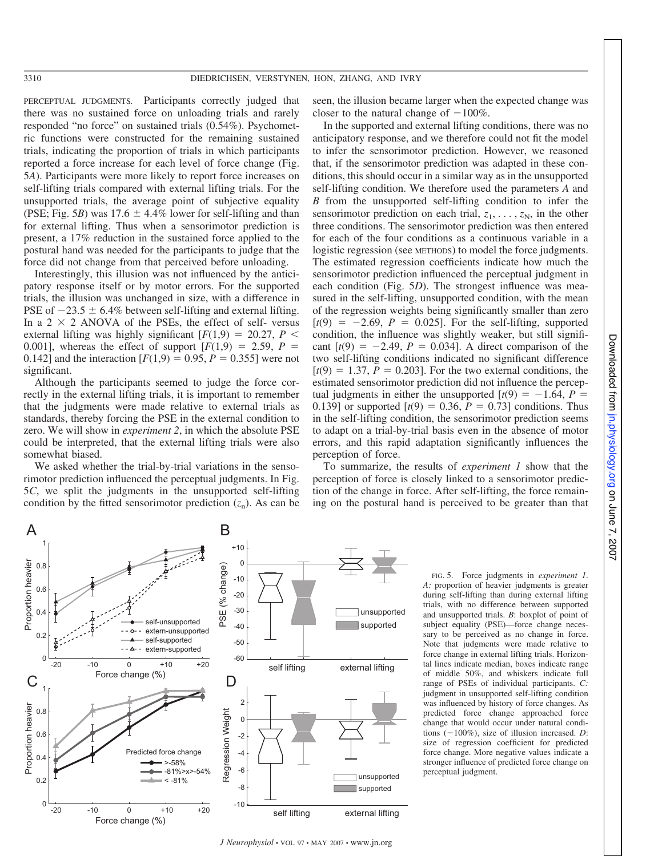PERCEPTUAL JUDGMENTS. Participants correctly judged that there was no sustained force on unloading trials and rarely responded "no force" on sustained trials (0.54%). Psychometric functions were constructed for the remaining sustained trials, indicating the proportion of trials in which participants reported a force increase for each level of force change (Fig. 5*A*). Participants were more likely to report force increases on self-lifting trials compared with external lifting trials. For the unsupported trials, the average point of subjective equality (PSE; Fig. 5*B*) was  $17.6 \pm 4.4\%$  lower for self-lifting and than for external lifting. Thus when a sensorimotor prediction is present, a 17% reduction in the sustained force applied to the postural hand was needed for the participants to judge that the force did not change from that perceived before unloading.

Interestingly, this illusion was not influenced by the anticipatory response itself or by motor errors. For the supported trials, the illusion was unchanged in size, with a difference in PSE of  $-23.5 \pm 6.4\%$  between self-lifting and external lifting. In a  $2 \times 2$  ANOVA of the PSEs, the effect of self-versus external lifting was highly significant  $[F(1,9) = 20.27, P \leq$ 0.001], whereas the effect of support  $[F(1,9) = 2.59, P =$ 0.142] and the interaction  $[F(1,9) = 0.95, P = 0.355]$  were not significant.

Although the participants seemed to judge the force correctly in the external lifting trials, it is important to remember that the judgments were made relative to external trials as standards, thereby forcing the PSE in the external condition to zero. We will show in *experiment 2*, in which the absolute PSE could be interpreted, that the external lifting trials were also somewhat biased.

We asked whether the trial-by-trial variations in the sensorimotor prediction influenced the perceptual judgments. In Fig. 5*C*, we split the judgments in the unsupported self-lifting condition by the fitted sensorimotor prediction  $(z_n)$ . As can be

seen, the illusion became larger when the expected change was closer to the natural change of  $-100\%$ .

In the supported and external lifting conditions, there was no anticipatory response, and we therefore could not fit the model to infer the sensorimotor prediction. However, we reasoned that, if the sensorimotor prediction was adapted in these conditions, this should occur in a similar way as in the unsupported self-lifting condition. We therefore used the parameters *A* and *B* from the unsupported self-lifting condition to infer the sensorimotor prediction on each trial,  $z_1, \ldots, z_N$ , in the other three conditions. The sensorimotor prediction was then entered for each of the four conditions as a continuous variable in a logistic regression (see METHODS) to model the force judgments. The estimated regression coefficients indicate how much the sensorimotor prediction influenced the perceptual judgment in each condition (Fig. 5*D*). The strongest influence was measured in the self-lifting, unsupported condition, with the mean of the regression weights being significantly smaller than zero  $[t(9) = -2.69, P = 0.025]$ . For the self-lifting, supported condition, the influence was slightly weaker, but still significant  $[t(9) = -2.49, P = 0.034]$ . A direct comparison of the two self-lifting conditions indicated no significant difference  $[t(9) = 1.37, P = 0.203]$ . For the two external conditions, the estimated sensorimotor prediction did not influence the perceptual judgments in either the unsupported  $[t(9) = -1.64, P =$ 0.139] or supported  $[t(9) = 0.36, P = 0.73]$  conditions. Thus in the self-lifting condition, the sensorimotor prediction seems to adapt on a trial-by-trial basis even in the absence of motor errors, and this rapid adaptation significantly influences the perception of force.

To summarize, the results of *experiment 1* show that the perception of force is closely linked to a sensorimotor prediction of the change in force. After self-lifting, the force remaining on the postural hand is perceived to be greater than that

perceptual judgment.

FIG. 5. Force judgments in *experiment 1*. *A:* proportion of heavier judgments is greater during self-lifting than during external lifting trials, with no difference between supported and unsupported trials. *B*: boxplot of point of subject equality (PSE)—force change necessary to be perceived as no change in force. Note that judgments were made relative to force change in external lifting trials. Horizontal lines indicate median, boxes indicate range of middle 50%, and whiskers indicate full range of PSEs of individual participants. *C:* judgment in unsupported self-lifting condition was influenced by history of force changes. As predicted force change approached force change that would occur under natural conditions  $(-100\%)$ , size of illusion increased. *D*: size of regression coefficient for predicted force change. More negative values indicate a stronger influence of predicted force change on



*J Neurophysiol* • VOL 97 • MAY 2007 • www.jn.org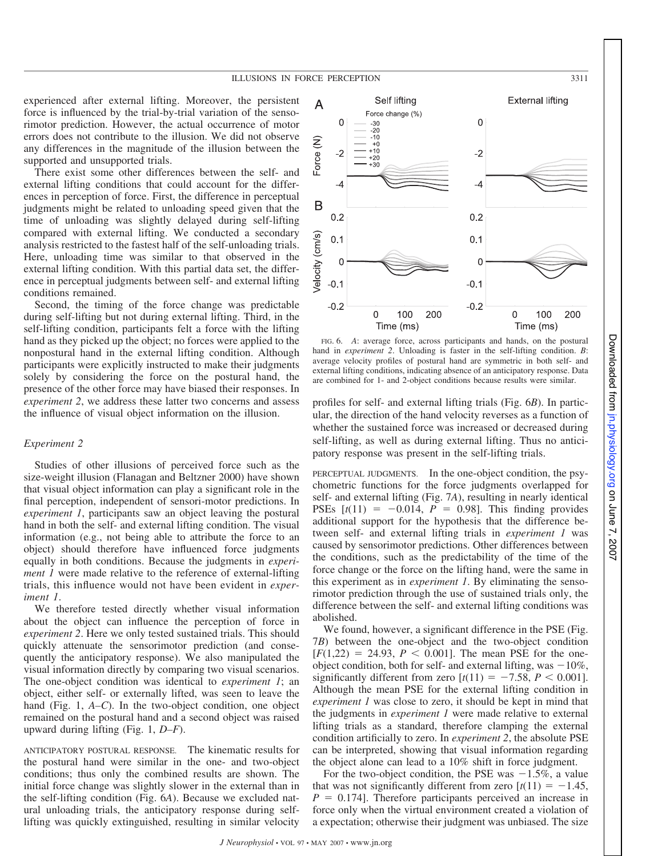experienced after external lifting. Moreover, the persistent force is influenced by the trial-by-trial variation of the sensorimotor prediction. However, the actual occurrence of motor errors does not contribute to the illusion. We did not observe any differences in the magnitude of the illusion between the supported and unsupported trials.

There exist some other differences between the self- and external lifting conditions that could account for the differences in perception of force. First, the difference in perceptual judgments might be related to unloading speed given that the time of unloading was slightly delayed during self-lifting compared with external lifting. We conducted a secondary analysis restricted to the fastest half of the self-unloading trials. Here, unloading time was similar to that observed in the external lifting condition. With this partial data set, the difference in perceptual judgments between self- and external lifting conditions remained.

Second, the timing of the force change was predictable during self-lifting but not during external lifting. Third, in the self-lifting condition, participants felt a force with the lifting hand as they picked up the object; no forces were applied to the nonpostural hand in the external lifting condition. Although participants were explicitly instructed to make their judgments solely by considering the force on the postural hand, the presence of the other force may have biased their responses. In *experiment 2*, we address these latter two concerns and assess the influence of visual object information on the illusion.

#### *Experiment 2*

Studies of other illusions of perceived force such as the size-weight illusion (Flanagan and Beltzner 2000) have shown that visual object information can play a significant role in the final perception, independent of sensori-motor predictions. In *experiment 1*, participants saw an object leaving the postural hand in both the self- and external lifting condition. The visual information (e.g., not being able to attribute the force to an object) should therefore have influenced force judgments equally in both conditions. Because the judgments in *experiment 1* were made relative to the reference of external-lifting trials, this influence would not have been evident in *experiment 1*.

We therefore tested directly whether visual information about the object can influence the perception of force in *experiment 2*. Here we only tested sustained trials. This should quickly attenuate the sensorimotor prediction (and consequently the anticipatory response). We also manipulated the visual information directly by comparing two visual scenarios. The one-object condition was identical to *experiment 1*; an object, either self- or externally lifted, was seen to leave the hand (Fig. 1, *A–C*). In the two-object condition, one object remained on the postural hand and a second object was raised upward during lifting (Fig. 1, *D–F*).

ANTICIPATORY POSTURAL RESPONSE. The kinematic results for the postural hand were similar in the one- and two-object conditions; thus only the combined results are shown. The initial force change was slightly slower in the external than in the self-lifting condition (Fig. 6*A*). Because we excluded natural unloading trials, the anticipatory response during selflifting was quickly extinguished, resulting in similar velocity



FIG. 6. *A*: average force, across participants and hands, on the postural hand in *experiment* 2. Unloading is faster in the self-lifting condition. *B*: average velocity profiles of postural hand are symmetric in both self- and external lifting conditions, indicating absence of an anticipatory response. Data are combined for 1- and 2-object conditions because results were similar.

profiles for self- and external lifting trials (Fig. 6*B*). In particular, the direction of the hand velocity reverses as a function of whether the sustained force was increased or decreased during self-lifting, as well as during external lifting. Thus no anticipatory response was present in the self-lifting trials.

PERCEPTUAL JUDGMENTS. In the one-object condition, the psychometric functions for the force judgments overlapped for self- and external lifting (Fig. 7*A*), resulting in nearly identical PSEs  $[t(11) = -0.014, P = 0.98]$ . This finding provides additional support for the hypothesis that the difference between self- and external lifting trials in *experiment 1* was caused by sensorimotor predictions. Other differences between the conditions, such as the predictability of the time of the force change or the force on the lifting hand, were the same in this experiment as in *experiment 1*. By eliminating the sensorimotor prediction through the use of sustained trials only, the difference between the self- and external lifting conditions was abolished.

We found, however, a significant difference in the PSE (Fig. 7*B*) between the one-object and the two-object condition  $[F(1,22) = 24.93, P \le 0.001]$ . The mean PSE for the oneobject condition, both for self- and external lifting, was  $-10\%$ , significantly different from zero  $[t(11) = -7.58, P < 0.001]$ . Although the mean PSE for the external lifting condition in *experiment 1* was close to zero, it should be kept in mind that the judgments in *experiment 1* were made relative to external lifting trials as a standard, therefore clamping the external condition artificially to zero. In *experiment 2*, the absolute PSE can be interpreted, showing that visual information regarding the object alone can lead to a 10% shift in force judgment.

For the two-object condition, the PSE was  $-1.5\%$ , a value that was not significantly different from zero  $[t(11) = -1.45$ ,  $P = 0.174$ . Therefore participants perceived an increase in force only when the virtual environment created a violation of a expectation; otherwise their judgment was unbiased. The size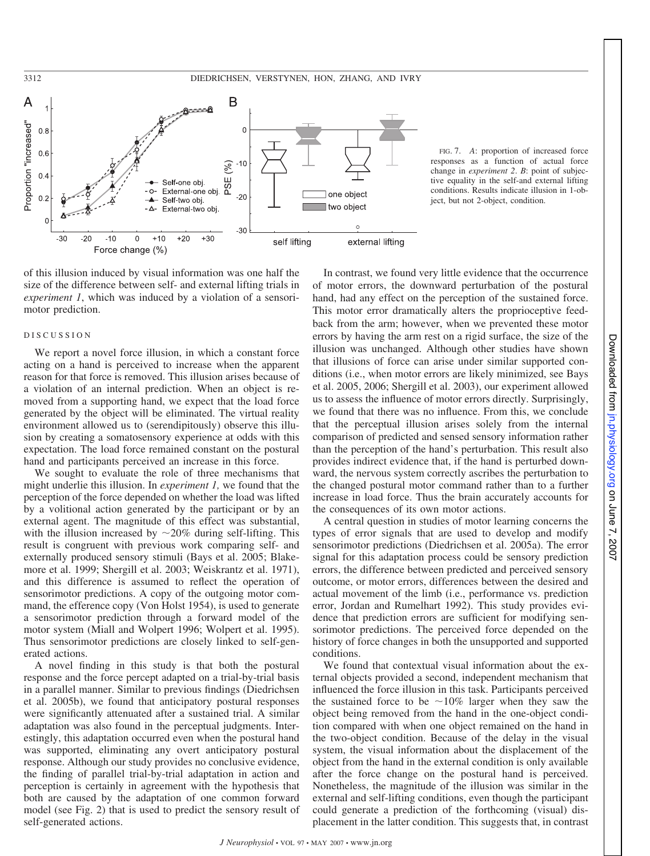

FIG. 7. *A*: proportion of increased force responses as a function of actual force change in *experiment 2*. *B*: point of subjective equality in the self-and external lifting conditions. Results indicate illusion in 1-object, but not 2-object, condition.

of this illusion induced by visual information was one half the size of the difference between self- and external lifting trials in *experiment 1*, which was induced by a violation of a sensorimotor prediction.

#### D I S C U S S I O N

We report a novel force illusion, in which a constant force acting on a hand is perceived to increase when the apparent reason for that force is removed. This illusion arises because of a violation of an internal prediction. When an object is removed from a supporting hand, we expect that the load force generated by the object will be eliminated. The virtual reality environment allowed us to (serendipitously) observe this illusion by creating a somatosensory experience at odds with this expectation. The load force remained constant on the postural hand and participants perceived an increase in this force.

We sought to evaluate the role of three mechanisms that might underlie this illusion. In *experiment 1,* we found that the perception of the force depended on whether the load was lifted by a volitional action generated by the participant or by an external agent. The magnitude of this effect was substantial, with the illusion increased by  $\sim 20\%$  during self-lifting. This result is congruent with previous work comparing self- and externally produced sensory stimuli (Bays et al. 2005; Blakemore et al. 1999; Shergill et al. 2003; Weiskrantz et al. 1971), and this difference is assumed to reflect the operation of sensorimotor predictions. A copy of the outgoing motor command, the efference copy (Von Holst 1954), is used to generate a sensorimotor prediction through a forward model of the motor system (Miall and Wolpert 1996; Wolpert et al. 1995). Thus sensorimotor predictions are closely linked to self-generated actions.

A novel finding in this study is that both the postural response and the force percept adapted on a trial-by-trial basis in a parallel manner. Similar to previous findings (Diedrichsen et al. 2005b), we found that anticipatory postural responses were significantly attenuated after a sustained trial. A similar adaptation was also found in the perceptual judgments. Interestingly, this adaptation occurred even when the postural hand was supported, eliminating any overt anticipatory postural response. Although our study provides no conclusive evidence, the finding of parallel trial-by-trial adaptation in action and perception is certainly in agreement with the hypothesis that both are caused by the adaptation of one common forward model (see Fig. 2) that is used to predict the sensory result of self-generated actions.

In contrast, we found very little evidence that the occurrence of motor errors, the downward perturbation of the postural hand, had any effect on the perception of the sustained force. This motor error dramatically alters the proprioceptive feedback from the arm; however, when we prevented these motor errors by having the arm rest on a rigid surface, the size of the illusion was unchanged. Although other studies have shown that illusions of force can arise under similar supported conditions (i.e., when motor errors are likely minimized, see Bays et al. 2005, 2006; Shergill et al. 2003), our experiment allowed us to assess the influence of motor errors directly. Surprisingly, we found that there was no influence. From this, we conclude that the perceptual illusion arises solely from the internal comparison of predicted and sensed sensory information rather than the perception of the hand's perturbation. This result also provides indirect evidence that, if the hand is perturbed downward, the nervous system correctly ascribes the perturbation to the changed postural motor command rather than to a further increase in load force. Thus the brain accurately accounts for the consequences of its own motor actions.

A central question in studies of motor learning concerns the types of error signals that are used to develop and modify sensorimotor predictions (Diedrichsen et al. 2005a). The error signal for this adaptation process could be sensory prediction errors, the difference between predicted and perceived sensory outcome, or motor errors, differences between the desired and actual movement of the limb (i.e., performance vs. prediction error, Jordan and Rumelhart 1992). This study provides evidence that prediction errors are sufficient for modifying sensorimotor predictions. The perceived force depended on the history of force changes in both the unsupported and supported conditions.

We found that contextual visual information about the external objects provided a second, independent mechanism that influenced the force illusion in this task. Participants perceived the sustained force to be  $\sim 10\%$  larger when they saw the object being removed from the hand in the one-object condition compared with when one object remained on the hand in the two-object condition. Because of the delay in the visual system, the visual information about the displacement of the object from the hand in the external condition is only available after the force change on the postural hand is perceived. Nonetheless, the magnitude of the illusion was similar in the external and self-lifting conditions, even though the participant could generate a prediction of the forthcoming (visual) displacement in the latter condition. This suggests that, in contrast